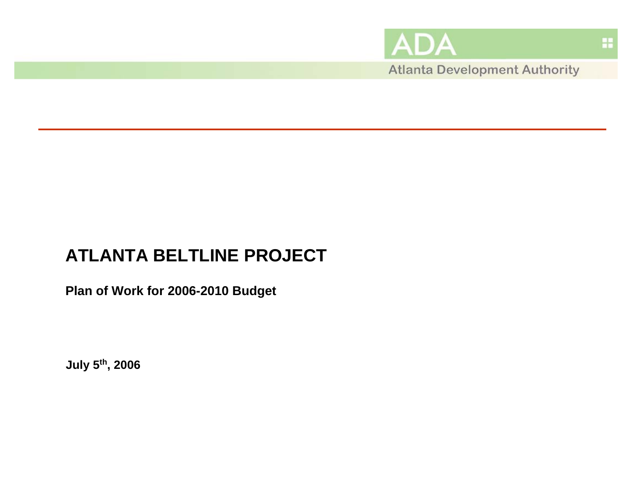

蒜

# **ATLANTA BELTLINE PROJECT**

**Plan of Work for 2006-2010 Budget**

**July 5th, 2006**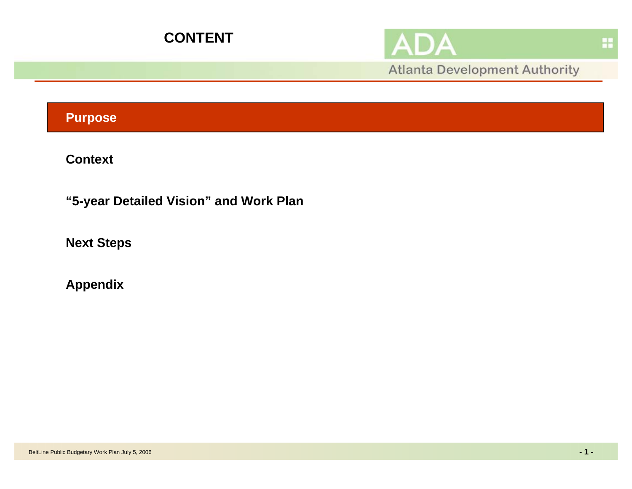



**Atlanta Development Authority** 

## **Purpose**

**Context**

**"5-year Detailed Vision" and Work Plan**

**Next Steps** 

**Appendix**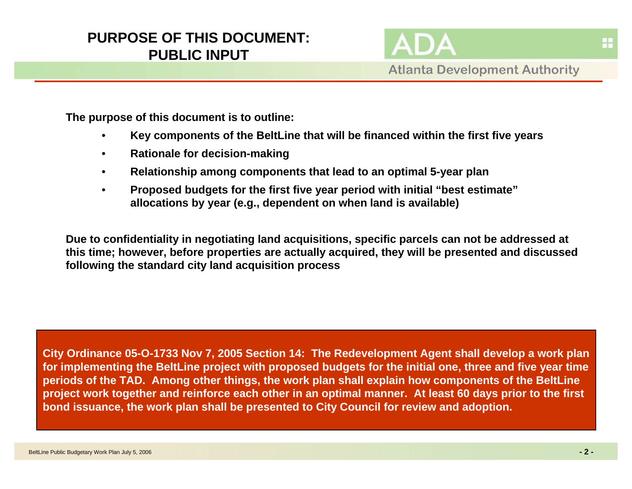## **PURPOSE OF THIS DOCUMENT:PUBLIC INPUT**

**Atlanta Development Authority** 

**The purpose of this document is to outline:** 

- •**Key components of the BeltLine that will be financed within the first five years**
- •**Rationale for decision-making**
- •**Relationship among components that lead to an optimal 5-year plan**
- • **Proposed budgets for the first five year period with initial "best estimate" allocations by year (e.g., dependent on when land is available)**

**Due to confidentiality in negotiating land acquisitions, specific parcels can not be addressed at this time; however, before properties are actually acquired, they will be presented and discussed following the standard city land acquisition process**

**City Ordinance 05-O-1733 Nov 7, 2005 Section 14: The Redevelopment Agent shall develop a work plan for implementing the BeltLine project with proposed budgets for the initial one, three and five year time periods of the TAD. Among other things, the work plan shall explain how components of the BeltLine project work together and reinforce each other in an optimal manner. At least 60 days prior to the first bond issuance, the work plan shall be presented to City Council for review and adoption.**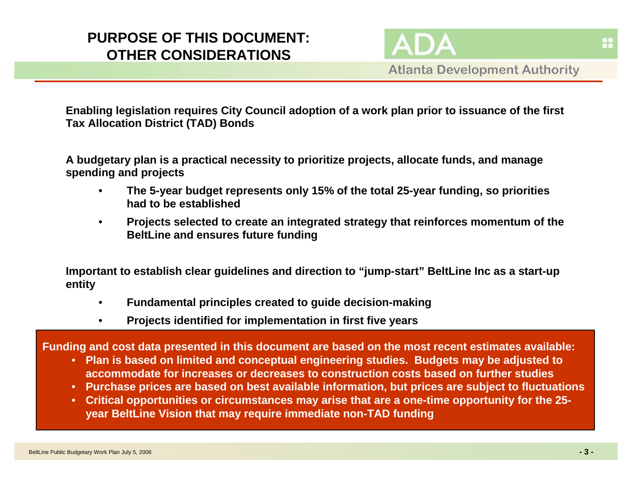## **PURPOSE OF THIS DOCUMENT:OTHER CONSIDERATIONS**

**Atlanta Development Authority** 

**Enabling legislation requires City Council adoption of a work plan prior to issuance of the first Tax Allocation District (TAD) Bonds**

**A budgetary plan is a practical necessity to prioritize projects, allocate funds, and manage spending and projects**

- • **The 5-year budget represents only 15% of the total 25-year funding, so priorities had to be established**
- $\bullet$  **Projects selected to create an integrated strategy that reinforces momentum of the BeltLine and ensures future funding**

**Important to establish clear guidelines and direction to "jump-start" BeltLine Inc as a start-up entity**

- •**Fundamental principles created to guide decision-making**
- $\bullet$ **Projects identified for implementation in first five years**

**Funding and cost data presented in this document are based on the most recent estimates available:** 

- **Plan is based on limited and conceptual engineering studies. Budgets may be adjusted to accommodate for increases or decreases to construction costs based on further studies**
- **Purchase prices are based on best available information, but prices are subject to fluctuations**
- **Critical opportunities or circumstances may arise that are a one-time opportunity for the 25 year BeltLine Vision that may require immediate non-TAD funding**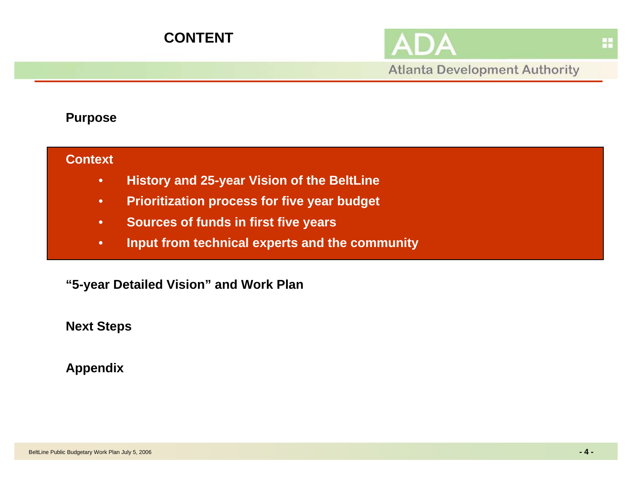

## **Purpose**

### **Context**

- •**History and 25-year Vision of the BeltLine**
- •**Prioritization process for five year budget**
- •**Sources of funds in first five years**
- •**Input from technical experts and the community**

**"5-year Detailed Vision" and Work Plan**

**Next Steps**

**Appendix**

H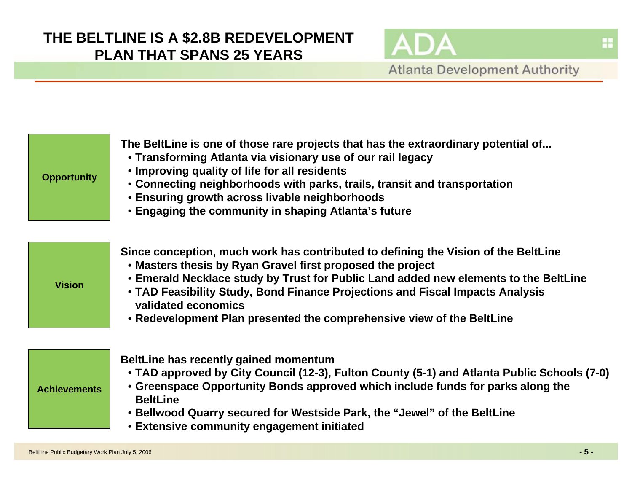

| <b>Opportunity</b>  | The BeltLine is one of those rare projects that has the extraordinary potential of<br>• Transforming Atlanta via visionary use of our rail legacy<br>• Improving quality of life for all residents<br>• Connecting neighborhoods with parks, trails, transit and transportation<br><b>• Ensuring growth across livable neighborhoods</b><br>• Engaging the community in shaping Atlanta's future                          |
|---------------------|---------------------------------------------------------------------------------------------------------------------------------------------------------------------------------------------------------------------------------------------------------------------------------------------------------------------------------------------------------------------------------------------------------------------------|
| <b>Vision</b>       | Since conception, much work has contributed to defining the Vision of the BeltLine<br>• Masters thesis by Ryan Gravel first proposed the project<br>• Emerald Necklace study by Trust for Public Land added new elements to the BeltLine<br>• TAD Feasibility Study, Bond Finance Projections and Fiscal Impacts Analysis<br>validated economics<br>• Redevelopment Plan presented the comprehensive view of the BeltLine |
| <b>Achievements</b> | BeltLine has recently gained momentum<br>• TAD approved by City Council (12-3), Fulton County (5-1) and Atlanta Public Schools (7-0)<br>• Greenspace Opportunity Bonds approved which include funds for parks along the<br><b>BeltLine</b><br>• Bellwood Quarry secured for Westside Park, the "Jewel" of the BeltLine<br><b>• Extensive community engagement initiated</b>                                               |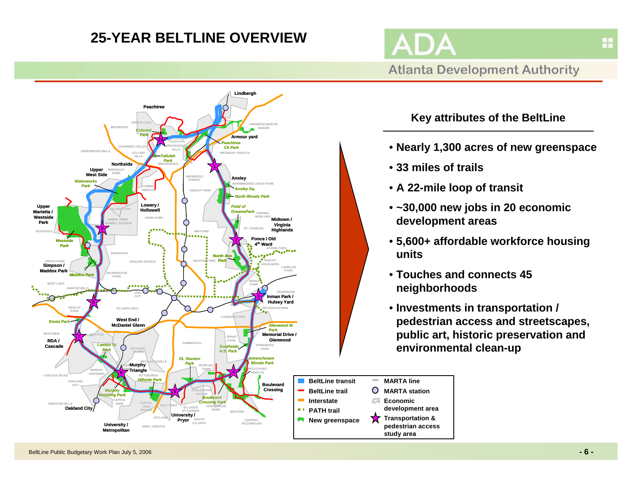## **25-YEAR BELTLINE OVERVIEW**

**Atlanta Development Authority** 



**Key attributes of the BeltLine**

- **Nearly 1,300 acres of new greenspace**
- **33 miles of trails**

**pedestrian access study area**

**MARTA lineMARTA stationEconomic development area**

O  $\sqrt{2}$ 

- **A 22-mile loop of transit**
- **~30,000 new jobs in 20 economic development areas**
- **5,600+ affordable workforce housing units**
- **Touches and connects 45 neighborhoods**
- **Investments in transportation / pedestrian access and streetscapes, public art, historic preservation and environmental clean-up**

H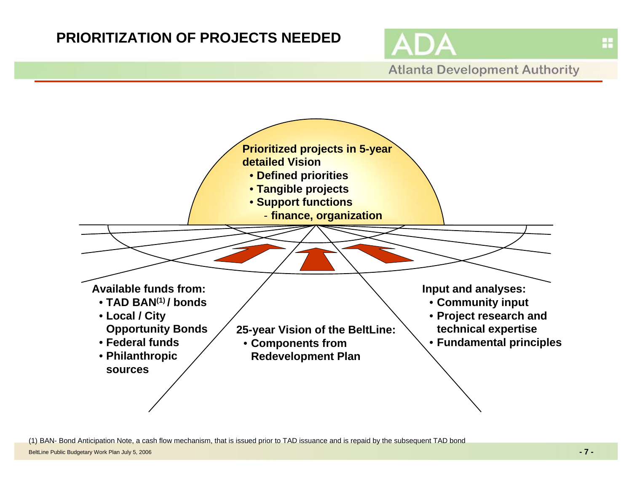## **PRIORITIZATION OF PROJECTS NEEDED**



**Atlanta Development Authority** 



(1) BAN- Bond Anticipation Note, a cash flow mechanism, that is issued prior to TAD issuance and is repaid by the subsequent TAD bond

BeltLine Public Budgetary Work Plan July 5, 2006 **-7-**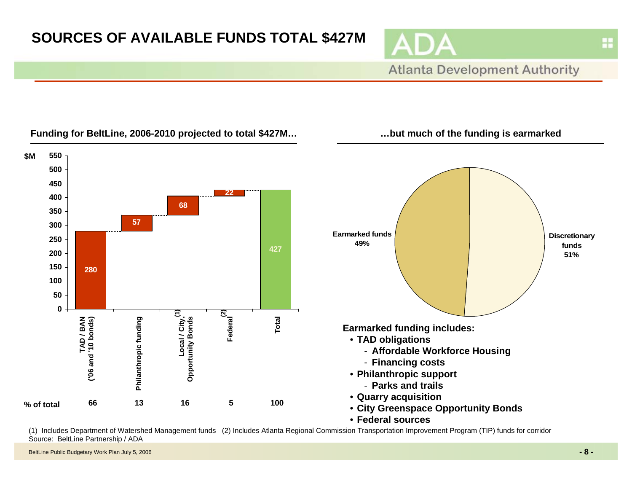# **SOURCES OF AVAILABLE FUNDS TOTAL \$427M**





(1) Includes Department of Watershed Management funds (2) Includes Atlanta Regional Commission Transportation Improvement Program (TIP) funds for corridor Source: BeltLine Partnership / ADA

#### BeltLine Public Budgetary Work Plan July 5, 2006 **-8-**

H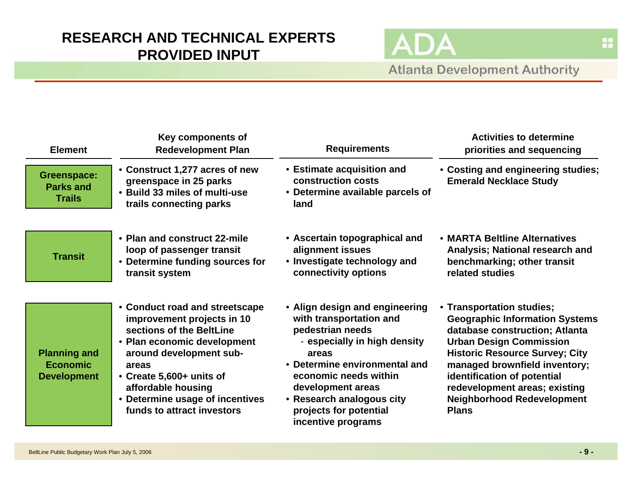## **RESEARCH AND TECHNICAL EXPERTS PROVIDED INPUT**

**Atlanta Development Authority** 

**AD** 

| <b>Element</b>                                               | Key components of<br><b>Redevelopment Plan</b>                                                                                                                                                                                                                                 | <b>Requirements</b>                                                                                                                                                                                                                                                                | <b>Activities to determine</b><br>priorities and sequencing                                                                                                                                                                                                                                                                           |
|--------------------------------------------------------------|--------------------------------------------------------------------------------------------------------------------------------------------------------------------------------------------------------------------------------------------------------------------------------|------------------------------------------------------------------------------------------------------------------------------------------------------------------------------------------------------------------------------------------------------------------------------------|---------------------------------------------------------------------------------------------------------------------------------------------------------------------------------------------------------------------------------------------------------------------------------------------------------------------------------------|
| <b>Greenspace:</b><br><b>Parks and</b><br><b>Trails</b>      | • Construct 1,277 acres of new<br>greenspace in 25 parks<br>• Build 33 miles of multi-use<br>trails connecting parks                                                                                                                                                           | • Estimate acquisition and<br>construction costs<br>• Determine available parcels of<br>land                                                                                                                                                                                       | • Costing and engineering studies;<br><b>Emerald Necklace Study</b>                                                                                                                                                                                                                                                                   |
| <b>Transit</b>                                               | • Plan and construct 22-mile<br>loop of passenger transit<br>• Determine funding sources for<br>transit system                                                                                                                                                                 | • Ascertain topographical and<br>alignment issues<br>• Investigate technology and<br>connectivity options                                                                                                                                                                          | • MARTA Beltline Alternatives<br>Analysis; National research and<br>benchmarking; other transit<br>related studies                                                                                                                                                                                                                    |
| <b>Planning and</b><br><b>Economic</b><br><b>Development</b> | • Conduct road and streetscape<br>improvement projects in 10<br>sections of the BeltLine<br>• Plan economic development<br>around development sub-<br>areas<br>• Create 5,600+ units of<br>affordable housing<br>• Determine usage of incentives<br>funds to attract investors | • Align design and engineering<br>with transportation and<br>pedestrian needs<br>- especially in high density<br>areas<br>• Determine environmental and<br>economic needs within<br>development areas<br>• Research analogous city<br>projects for potential<br>incentive programs | • Transportation studies;<br><b>Geographic Information Systems</b><br>database construction; Atlanta<br><b>Urban Design Commission</b><br><b>Historic Resource Survey; City</b><br>managed brownfield inventory;<br>identification of potential<br>redevelopment areas; existing<br><b>Neighborhood Redevelopment</b><br><b>Plans</b> |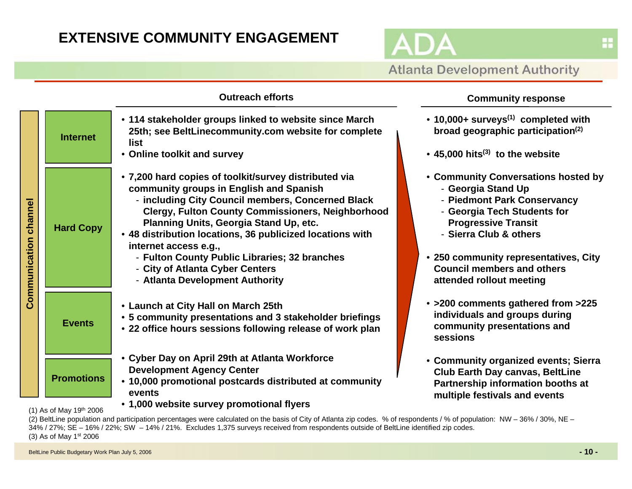## **EXTENSIVE COMMUNITY ENGAGEMENT**



|                          |                                                             | <b>Outreach efforts</b>                                                                                                                                                                                                                                                                                                                                                                                                                                                  | <b>Community response</b>                                                                                                                                                                                                                                                                 |
|--------------------------|-------------------------------------------------------------|--------------------------------------------------------------------------------------------------------------------------------------------------------------------------------------------------------------------------------------------------------------------------------------------------------------------------------------------------------------------------------------------------------------------------------------------------------------------------|-------------------------------------------------------------------------------------------------------------------------------------------------------------------------------------------------------------------------------------------------------------------------------------------|
|                          | <b>Internet</b>                                             | • 114 stakeholder groups linked to website since March<br>25th; see BeltLinecommunity.com website for complete<br>list<br>• Online toolkit and survey                                                                                                                                                                                                                                                                                                                    | • 10,000+ surveys <sup>(1)</sup> completed with<br>broad geographic participation <sup>(2)</sup><br>$\cdot$ 45,000 hits <sup>(3)</sup> to the website                                                                                                                                     |
| channel<br>Communication | <b>Hard Copy</b>                                            | . 7,200 hard copies of toolkit/survey distributed via<br>community groups in English and Spanish<br>- including City Council members, Concerned Black<br><b>Clergy, Fulton County Commissioners, Neighborhood</b><br>Planning Units, Georgia Stand Up, etc.<br>• 48 distribution locations, 36 publicized locations with<br>internet access e.g.,<br>- Fulton County Public Libraries; 32 branches<br>- City of Atlanta Cyber Centers<br>- Atlanta Development Authority | • Community Conversations hosted by<br>- Georgia Stand Up<br>- Piedmont Park Conservancy<br>- Georgia Tech Students for<br><b>Progressive Transit</b><br>- Sierra Club & others<br>• 250 community representatives, City<br><b>Council members and others</b><br>attended rollout meeting |
|                          | <b>Events</b>                                               | • Launch at City Hall on March 25th<br>• 5 community presentations and 3 stakeholder briefings<br>• 22 office hours sessions following release of work plan                                                                                                                                                                                                                                                                                                              | • >200 comments gathered from >225<br>individuals and groups during<br>community presentations and<br>sessions                                                                                                                                                                            |
|                          | <b>Promotions</b><br>$(4)$ $A = -1$ $M = -1$ $A$ other open | • Cyber Day on April 29th at Atlanta Workforce<br><b>Development Agency Center</b><br>• 10,000 promotional postcards distributed at community<br>events<br>• 1,000 website survey promotional flyers                                                                                                                                                                                                                                                                     | • Community organized events; Sierra<br><b>Club Earth Day canvas, BeltLine</b><br>Partnership information booths at<br>multiple festivals and events                                                                                                                                      |

(1) As of May  $19^{th}$  2006

(2) BeltLine population and participation percentages were calculated on the basis of City of Atlanta zip codes. % of respondents / % of population: NW - 36% / 30%, NE -34% / 27%; SE – 16% / 22%; SW – 14% / 21%. Excludes 1,375 surveys received from respondents outside of BeltLine identified zip codes. (3) As of May 1st 2006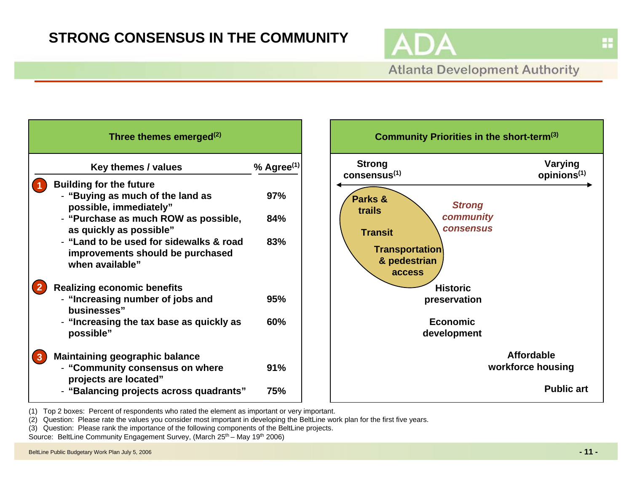## **STRONG CONSENSUS IN THE COMMUNITY**



H

**Atlanta Development Authority** 

| Three themes emerged <sup>(2)</sup>                                                            |                        |
|------------------------------------------------------------------------------------------------|------------------------|
| Key themes / values                                                                            | % Agree <sup>(1)</sup> |
| <b>Building for the future</b><br>- "Buying as much of the land as<br>possible, immediately"   | <b>97%</b>             |
| - "Purchase as much ROW as possible,<br>as quickly as possible"                                | 84%                    |
| - "Land to be used for sidewalks & road<br>improvements should be purchased<br>when available" | 83%                    |
| <b>Realizing economic benefits</b>                                                             |                        |
| - "Increasing number of jobs and<br>businesses"                                                | 95%                    |
| - "Increasing the tax base as quickly as<br>possible"                                          | 60%                    |
| <b>Maintaining geographic balance</b>                                                          |                        |
| - "Community consensus on where<br>projects are located"                                       | 91%                    |
| - "Balancing projects across quadrants"                                                        | 75%                    |



(1) Top 2 boxes: Percent of respondents who rated the element as important or very important.

(2) Question: Please rate the values you consider most important in developing the BeltLine work plan for the first five years.

(3) Question: Please rank the importance of the following components of the BeltLine projects.

Source: BeltLine Community Engagement Survey, (March 25<sup>th</sup> – May 19<sup>th</sup> 2006)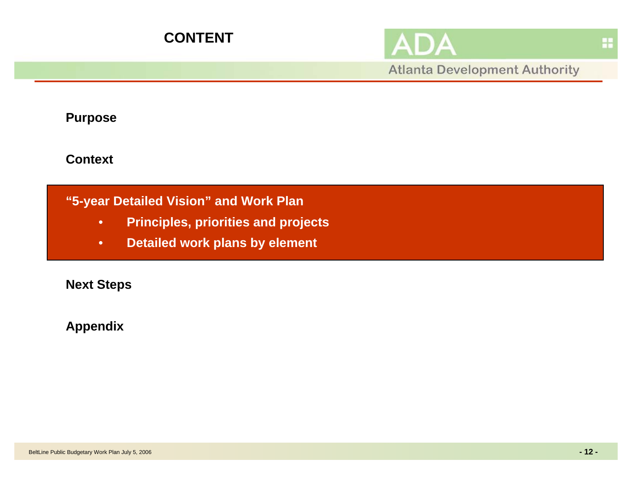

**Atlanta Development Authority** 

**Purpose**

**Context**

## **"5-year Detailed Vision" and Work Plan**

- •**Principles, priorities and projects**
- •**Detailed work plans by element**

**Next Steps**

**Appendix**

蒜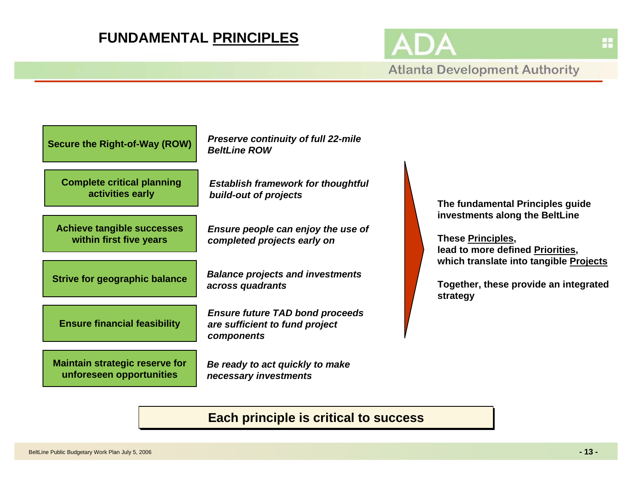## **FUNDAMENTAL PRINCIPLES**

**Atlanta Development Authority** 



## **Each principle is critical to success**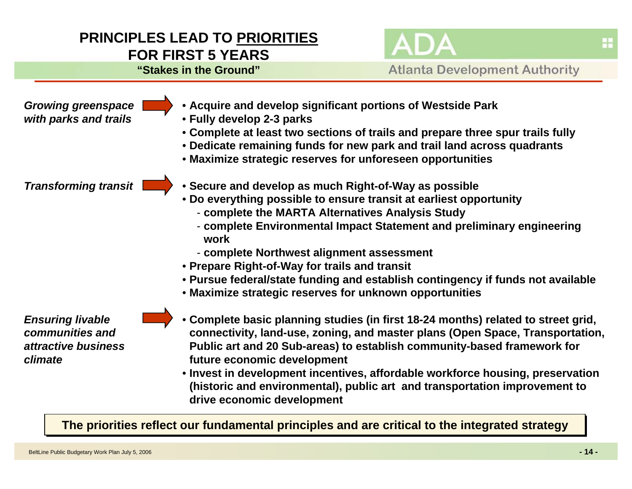## **PRINCIPLES LEAD TO PRIORITIES FOR FIRST 5 YEARS**

**"Stakes in the Ground"**

**Atlanta Development Authority** 

*Growing greenspace with parks and trails*

- **Acquire and develop significant portions of Westside Park**
- **Fully develop 2-3 parks**
- **Complete at least two sections of trails and prepare three spur trails fully**
- **Dedicate remaining funds for new park and trail land across quadrants**
- **Maximize strategic reserves for unforeseen opportunities**

*Transforming transit*

- **Secure and develop as much Right-of-Way as possible**
- **Do everything possible to ensure transit at earliest opportunity**
	- **complete the MARTA Alternatives Analysis Study**
	- **complete Environmental Impact Statement and preliminary engineering work**
	- **complete Northwest alignment assessment**
- **Prepare Right-of-Way for trails and transit**
- **Pursue federal/state funding and establish contingency if funds not available**
- **Maximize strategic reserves for unknown opportunities**

*Ensuring livable communities andattractive business climate*

- **Complete basic planning studies (in first 18-24 months) related to street grid, connectivity, land-use, zoning, and master plans (Open Space, Transportation, Public art and 20 Sub-areas) to establish community-based framework for future economic development**
	- **Invest in development incentives, affordable workforce housing, preservation (historic and environmental), public art and transportation improvement to drive economic development**

The priorities reflect our fundamental principles and are critical to the integrated strategy

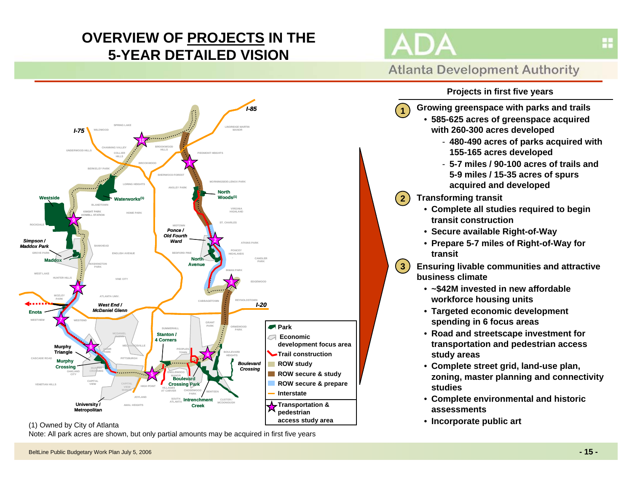# **OVERVIEW OF PROJECTS IN THE 5-YEAR DETAILED VISION**



**1**

**2**

**3**



**with 260-300 acres developed**

**Growing greenspace with parks and trails** • **585-625 acres of greenspace acquired**

**155-165 acres developed**



### (1) Owned by City of Atlanta

Note: All park acres are shown, but only partial amounts may be acquired in first five years

- **5-7 miles / 90-100 acres of trails and 5-9 miles / 15-35 acres of spurs acquired and developed**

- **480-490 acres of parks acquired with** 

- **Transforming transit**
	- **Complete all studies required to begin transit construction**
	- **Secure available Right-of-Way**
	- **Prepare 5-7 miles of Right-of-Way for transit**
- **Ensuring livable communities and attractive business climate**
	- **~\$42M invested in new affordable workforce housing units**
	- **Targeted economic development spending in 6 focus areas**
	- **Road and streetscape investment for transportation and pedestrian access study areas**
	- **Complete street grid, land-use plan, zoning, master planning and connectivity studies**
	- **Complete environmental and historic assessments**
	- **Incorporate public art**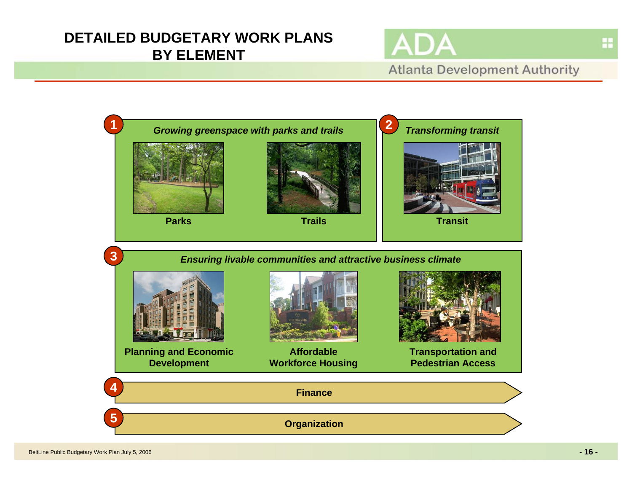## **DETAILED BUDGETARY WORK PLANS BY ELEMENT**





H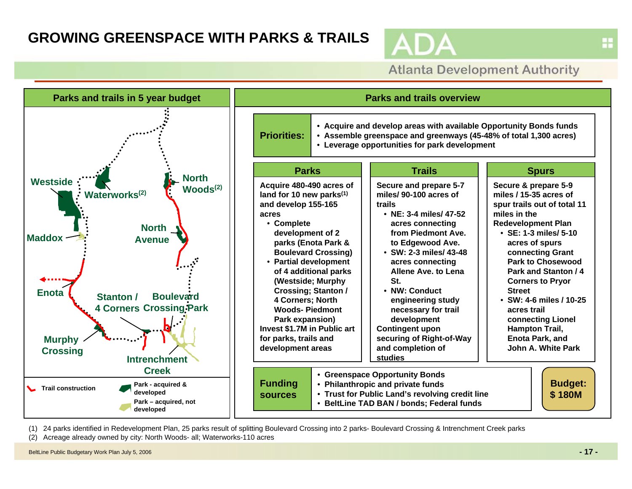## **GROWING GREENSPACE WITH PARKS & TRAILS**

**Atlanta Development Authority** 



(1) 24 parks identified in Redevelopment Plan, 25 parks result of splitting Boulevard Crossing into 2 parks- Boulevard Crossing & Intrenchment Creek parks

(2) Acreage already owned by city: North Woods- all; Waterworks-110 acres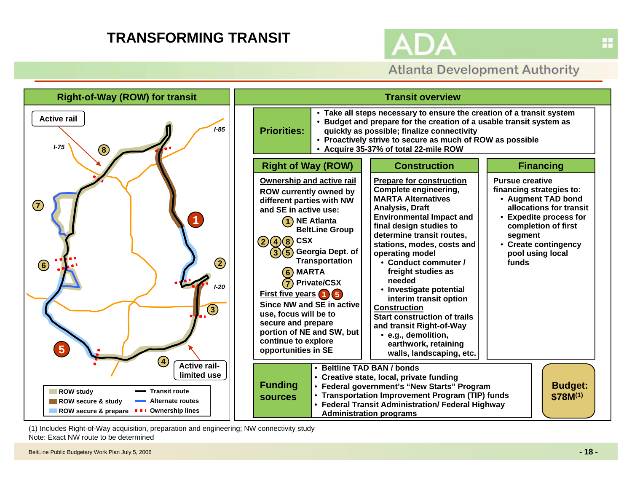## **TRANSFORMING TRANSIT**



**Atlanta Development Authority** 

H



(1) Includes Right-of-Way acquisition, preparation and engineering; NW connectivity study Note: Exact NW route to be determined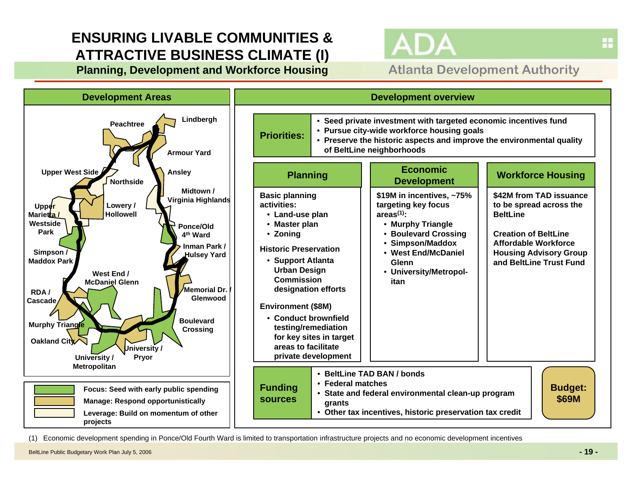# **ENSURING LIVABLE COMMUNITIES &ATTRACTIVE BUSINESS CLIMATE (I)**

**Planning, Development and Workforce Housing**





(1) Economic development spending in Ponce/Old Fourth Ward is limited to transportation infrastructure projects and no economic development incentives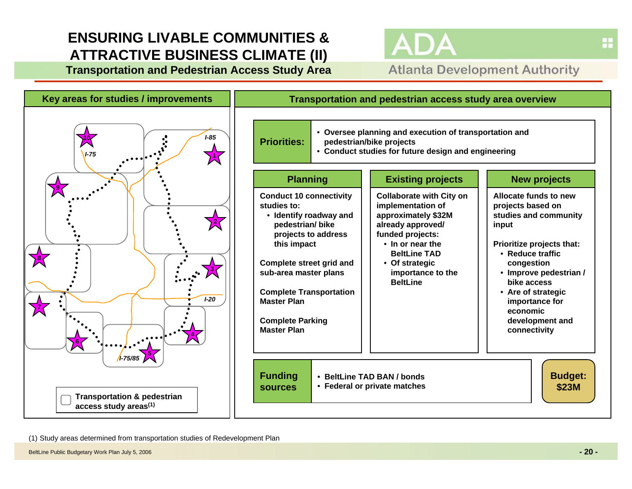# **ENSURING LIVABLE COMMUNITIES &ATTRACTIVE BUSINESS CLIMATE (II)**

**Transportation and Pedestrian Access Study Area**





(1) Study areas determined from transportation studies of Redevelopment Plan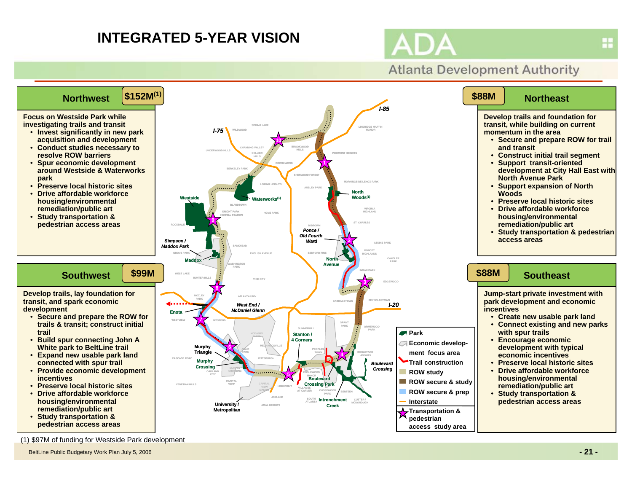## **INTEGRATED 5-YEAR VISION**



## **Atlanta Development Authority**



(1) \$97M of funding for Westside Park development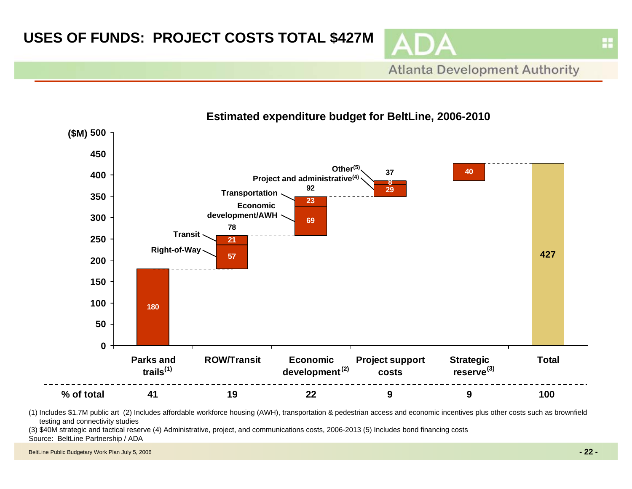

**Atlanta Development Authority** 



(1) Includes \$1.7M public art (2) Includes affordable workforce housing (AWH), transportation & pedestrian access and economic incentives plus other costs such as brownfield testing and connectivity studies

(3) \$40M strategic and tactical reserve (4) Administrative, project, and communications costs, 2006-2013 (5) Includes bond financing costs Source: BeltLine Partnership / ADA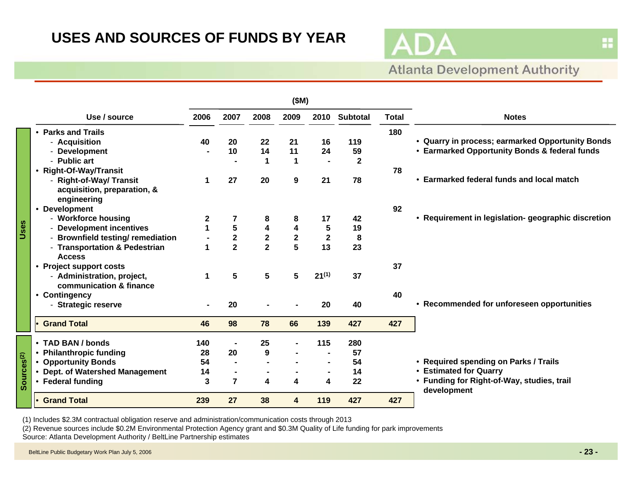## **USES AND SOURCES OF FUNDS BY YEAR**



# **Atlanta Development Authority**

|                        |                                                                                                                                                                                                                                                                                                                   | (SM)                                             |                                                           |                                                             |                                                         |                                                                                     |                                                       |                 |                                                                                                                                                                                                       |
|------------------------|-------------------------------------------------------------------------------------------------------------------------------------------------------------------------------------------------------------------------------------------------------------------------------------------------------------------|--------------------------------------------------|-----------------------------------------------------------|-------------------------------------------------------------|---------------------------------------------------------|-------------------------------------------------------------------------------------|-------------------------------------------------------|-----------------|-------------------------------------------------------------------------------------------------------------------------------------------------------------------------------------------------------|
|                        | Use / source                                                                                                                                                                                                                                                                                                      | 2006                                             | 2007                                                      | 2008                                                        | 2009                                                    | 2010                                                                                | <b>Subtotal</b>                                       | <b>Total</b>    | <b>Notes</b>                                                                                                                                                                                          |
| Uses                   | • Parks and Trails<br>- Acquisition<br>- Development<br>- Public art<br>• Right-Of-Way/Transit<br>- Right-of-Way/ Transit<br>acquisition, preparation, &<br>engineering<br>• Development<br>- Workforce housing<br>- Development incentives<br>- Brownfield testing/ remediation<br>- Transportation & Pedestrian | 40<br>1<br>$\mathbf{2}$<br>$\mathbf{1}$<br>1     | 20<br>10<br>27<br>7<br>5<br>$\mathbf 2$<br>$\overline{2}$ | 22<br>14<br>1<br>20<br>8<br>$\frac{4}{2}$<br>$\overline{2}$ | 21<br>11<br>$\mathbf 1$<br>9<br>8<br>4<br>$\frac{2}{5}$ | 16<br>24<br>$\overline{\phantom{a}}$<br>21<br>17<br>$\sqrt{5}$<br>$\mathbf 2$<br>13 | 119<br>59<br>$\mathbf 2$<br>78<br>42<br>19<br>8<br>23 | 180<br>78<br>92 | • Quarry in process; earmarked Opportunity Bonds<br>• Earmarked Opportunity Bonds & federal funds<br>• Earmarked federal funds and local match<br>• Requirement in legislation- geographic discretion |
|                        | <b>Access</b><br>• Project support costs<br>- Administration, project,<br>communication & finance<br>• Contingency<br>- Strategic reserve                                                                                                                                                                         | 1                                                | 5<br>20                                                   | 5                                                           | 5                                                       | $21^{(1)}$<br>20                                                                    | 37<br>40                                              | 37<br>40        | • Recommended for unforeseen opportunities                                                                                                                                                            |
|                        | Grand Total                                                                                                                                                                                                                                                                                                       | 46                                               | 98                                                        | 78                                                          | 66                                                      | 139                                                                                 | 427                                                   | 427             |                                                                                                                                                                                                       |
| Sources <sup>(2)</sup> | • TAD BAN / bonds<br>• Philanthropic funding<br>• Opportunity Bonds<br>• Dept. of Watershed Management<br>• Federal funding                                                                                                                                                                                       | 140<br>28<br>54<br>14<br>$\overline{\mathbf{3}}$ | 20<br>$\overline{7}$                                      | 25<br>$\boldsymbol{9}$<br>$\overline{\mathbf{4}}$           | 4                                                       | 115<br>$\blacksquare$<br>$\overline{\mathbf{4}}$                                    | 280<br>57<br>54<br>14<br>22                           |                 | • Required spending on Parks / Trails<br>• Estimated for Quarry<br>• Funding for Right-of-Way, studies, trail<br>development                                                                          |
|                        | • Grand Total                                                                                                                                                                                                                                                                                                     | 239                                              | 27                                                        | 38                                                          | 4                                                       | 119                                                                                 | 427                                                   | 427             |                                                                                                                                                                                                       |

(1) Includes \$2.3M contractual obligation reserve and administration/communication costs through 2013

(2) Revenue sources include \$0.2M Environmental Protection Agency grant and \$0.3M Quality of Life funding for park improvements Source: Atlanta Development Authority / BeltLine Partnership estimates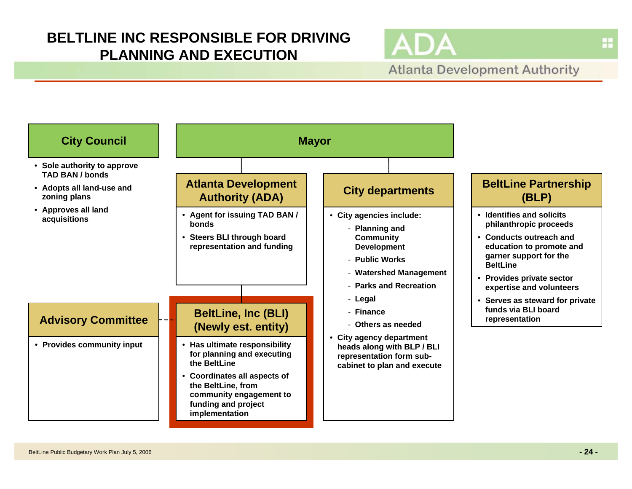## **BELTLINE INC RESPONSIBLE FOR DRIVING PLANNING AND EXECUTION**



**Atlanta Development Authority** 

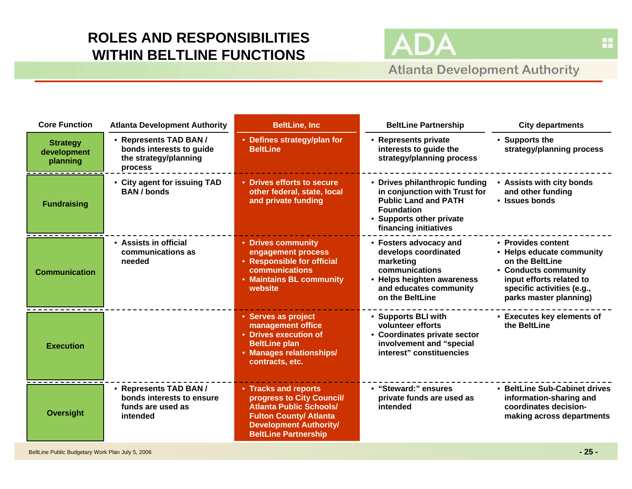# **ROLES AND RESPONSIBILITIES WITHIN BELTLINE FUNCTIONS**

## **Atlanta Development Authority**

| <b>Core Function</b>                       | <b>Atlanta Development Authority</b>                                                   | <b>BeltLine, Inc</b>                                                                                                                                                                 | <b>BeltLine Partnership</b>                                                                                                                                              | <b>City departments</b>                                                                                                                                                        |
|--------------------------------------------|----------------------------------------------------------------------------------------|--------------------------------------------------------------------------------------------------------------------------------------------------------------------------------------|--------------------------------------------------------------------------------------------------------------------------------------------------------------------------|--------------------------------------------------------------------------------------------------------------------------------------------------------------------------------|
| <b>Strategy</b><br>development<br>planning | • Represents TAD BAN /<br>bonds interests to guide<br>the strategy/planning<br>process | • Defines strategy/plan for<br><b>BeltLine</b>                                                                                                                                       | • Represents private<br>interests to guide the<br>strategy/planning process                                                                                              | • Supports the<br>strategy/planning process                                                                                                                                    |
| <b>Fundraising</b>                         | • City agent for issuing TAD<br><b>BAN</b> / bonds                                     | • Drives efforts to secure<br>other federal, state, local<br>and private funding                                                                                                     | • Drives philanthropic funding<br>in conjunction with Trust for<br><b>Public Land and PATH</b><br><b>Foundation</b><br>• Supports other private<br>financing initiatives | • Assists with city bonds<br>and other funding<br>• Issues bonds                                                                                                               |
| <b>Communication</b>                       | • Assists in official<br>communications as<br>needed                                   | • Drives community<br>engagement process<br>• Responsible for official<br>communications<br>• Maintains BL community<br>website                                                      | • Fosters advocacy and<br>develops coordinated<br>marketing<br>communications<br>• Helps heighten awareness<br>and educates community<br>on the BeltLine                 | • Provides content<br>• Helps educate community<br>on the BeltLine<br>• Conducts community<br>input efforts related to<br>specific activities (e.g.,<br>parks master planning) |
| <b>Execution</b>                           |                                                                                        | • Serves as project<br>management office<br>• Drives execution of<br><b>BeltLine plan</b><br>• Manages relationships/<br>contracts, etc.                                             | • Supports BLI with<br>volunteer efforts<br>• Coordinates private sector<br>involvement and "special<br>interest" constituencies                                         | • Executes key elements of<br>the BeltLine                                                                                                                                     |
| <b>Oversight</b>                           | • Represents TAD BAN /<br>bonds interests to ensure<br>funds are used as<br>intended   | • Tracks and reports<br>progress to City Council/<br><b>Atlanta Public Schools/</b><br><b>Fulton County/ Atlanta</b><br><b>Development Authority/</b><br><b>BeltLine Partnership</b> | • "Steward:" ensures<br>private funds are used as<br>intended                                                                                                            | • BeltLine Sub-Cabinet drives<br>information-sharing and<br>coordinates decision-<br>making across departments                                                                 |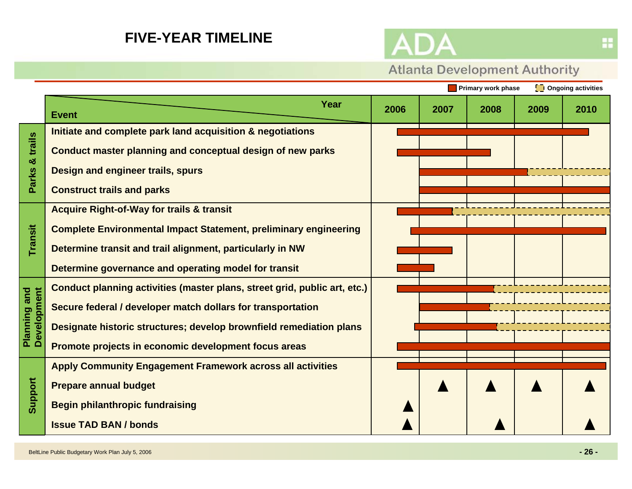## **FIVE-YEAR TIMELINE**



# **Atlanta Development Authority**

|                             |                                                                           |      |      | <b>Primary work phase</b> |      | <b>[D</b> Ongoing activities |
|-----------------------------|---------------------------------------------------------------------------|------|------|---------------------------|------|------------------------------|
|                             | Year<br><b>Event</b>                                                      | 2006 | 2007 | 2008                      | 2009 | 2010                         |
|                             | Initiate and complete park land acquisition & negotiations                |      |      |                           |      |                              |
| trails<br>න්                | <b>Conduct master planning and conceptual design of new parks</b>         |      |      |                           |      |                              |
|                             | Design and engineer trails, spurs                                         |      |      |                           |      |                              |
| <b>Parks</b>                | <b>Construct trails and parks</b>                                         |      |      |                           |      |                              |
|                             | <b>Acquire Right-of-Way for trails &amp; transit</b>                      |      |      |                           |      |                              |
|                             | <b>Complete Environmental Impact Statement, preliminary engineering</b>   |      |      |                           |      |                              |
| Transit                     | Determine transit and trail alignment, particularly in NW                 |      |      |                           |      |                              |
|                             | Determine governance and operating model for transit                      |      |      |                           |      |                              |
|                             | Conduct planning activities (master plans, street grid, public art, etc.) |      |      |                           |      |                              |
|                             | Secure federal / developer match dollars for transportation               |      |      |                           |      |                              |
| Planning and<br>Development | Designate historic structures; develop brownfield remediation plans       |      |      |                           |      |                              |
|                             | Promote projects in economic development focus areas                      |      |      |                           |      |                              |
|                             | <b>Apply Community Engagement Framework across all activities</b>         |      |      |                           |      |                              |
| Support                     | <b>Prepare annual budget</b>                                              |      |      |                           |      |                              |
|                             | <b>Begin philanthropic fundraising</b>                                    |      |      |                           |      |                              |
|                             | <b>Issue TAD BAN / bonds</b>                                              |      |      |                           |      |                              |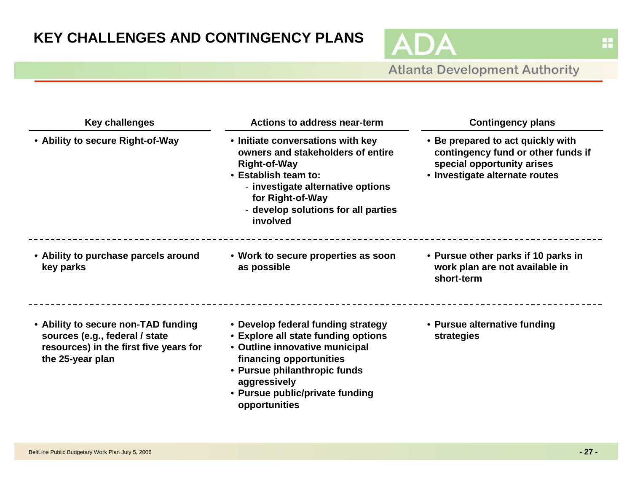AD

Δ

| <b>Key challenges</b>                                                                                                               | Actions to address near-term                                                                                                                                                                                                               | <b>Contingency plans</b><br>• Be prepared to act quickly with<br>contingency fund or other funds if<br>special opportunity arises<br>• Investigate alternate routes |  |  |
|-------------------------------------------------------------------------------------------------------------------------------------|--------------------------------------------------------------------------------------------------------------------------------------------------------------------------------------------------------------------------------------------|---------------------------------------------------------------------------------------------------------------------------------------------------------------------|--|--|
| • Ability to secure Right-of-Way                                                                                                    | • Initiate conversations with key<br>owners and stakeholders of entire<br>Right-of-Way<br>• Establish team to:<br>- investigate alternative options<br>for Right-of-Way<br>- develop solutions for all parties<br>involved                 |                                                                                                                                                                     |  |  |
| • Ability to purchase parcels around<br>key parks                                                                                   | • Work to secure properties as soon<br>as possible                                                                                                                                                                                         | • Pursue other parks if 10 parks in<br>work plan are not available in<br>short-term                                                                                 |  |  |
| • Ability to secure non-TAD funding<br>sources (e.g., federal / state<br>resources) in the first five years for<br>the 25-year plan | • Develop federal funding strategy<br>• Explore all state funding options<br>• Outline innovative municipal<br>financing opportunities<br>• Pursue philanthropic funds<br>aggressively<br>• Pursue public/private funding<br>opportunities | • Pursue alternative funding<br>strategies                                                                                                                          |  |  |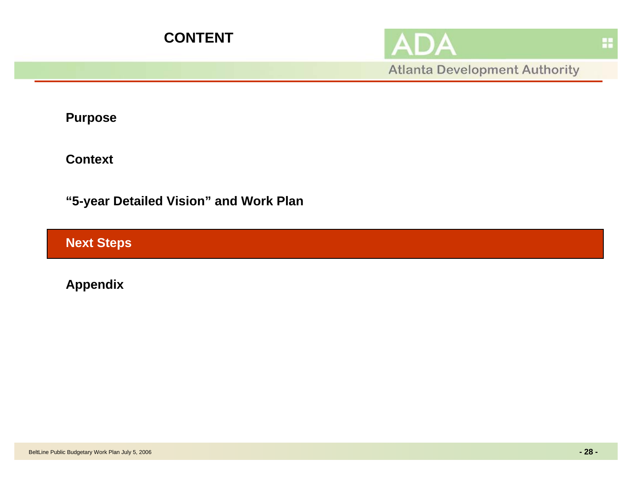



**Atlanta Development Authority** 

**Purpose**

**Context**

**"5-year Detailed Vision" and Work Plan**

**Next Steps**

**Appendix**

蒜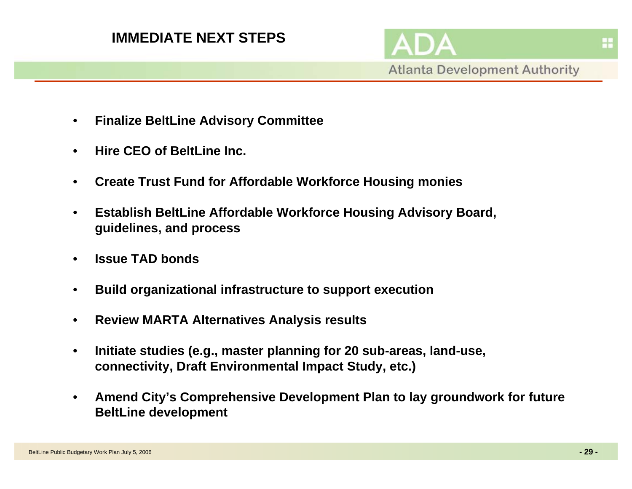- •**Finalize BeltLine Advisory Committee**
- •**Hire CEO of BeltLine Inc.**
- •**Create Trust Fund for Affordable Workforce Housing monies**
- • **Establish BeltLine Affordable Workforce Housing Advisory Board, guidelines, and process**
- •**Issue TAD bonds**
- •**Build organizational infrastructure to support execution**
- $\bullet$ **Review MARTA Alternatives Analysis results**
- • **Initiate studies (e.g., master planning for 20 sub-areas, land-use, connectivity, Draft Environmental Impact Study, etc.)**
- • **Amend City's Comprehensive Development Plan to lay groundwork for future BeltLine development**

H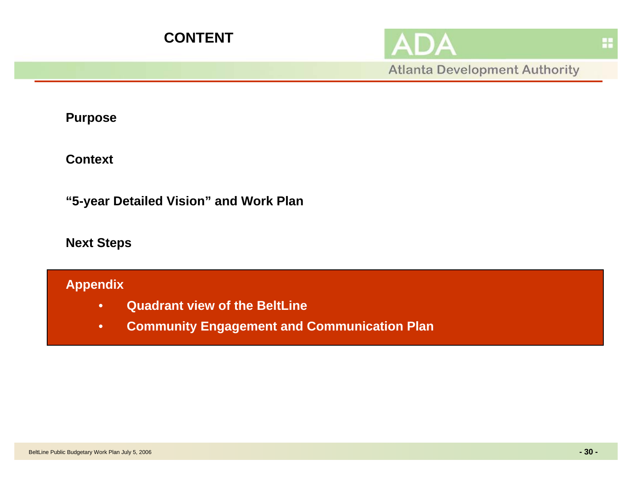

H

**Atlanta Development Authority** 

**Purpose**

**Context**

**"5-year Detailed Vision" and Work Plan**

**Next Steps** 

## **Appendix**

- •**Quadrant view of the BeltLine**
- $\bullet$ **Community Engagement and Communication Plan**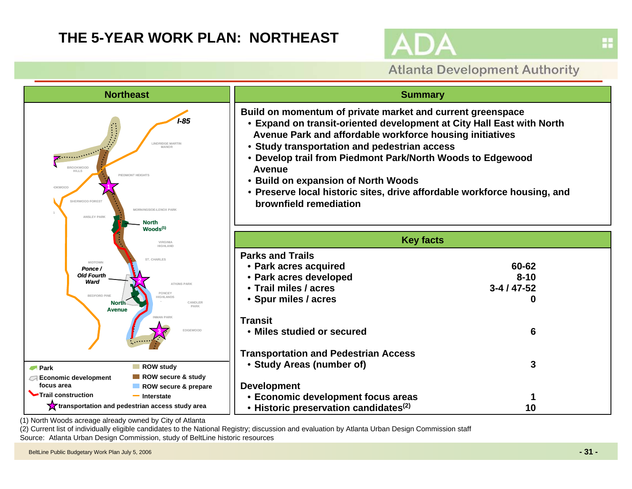## **THE 5-YEAR WORK PLAN: NORTHEAST**



## **Atlanta Development Authority**



(2) Current list of individually eligible candidates to the National Registry; discussion and evaluation by Atlanta Urban Design Commission staff Source: Atlanta Urban Design Commission, study of BeltLine historic resources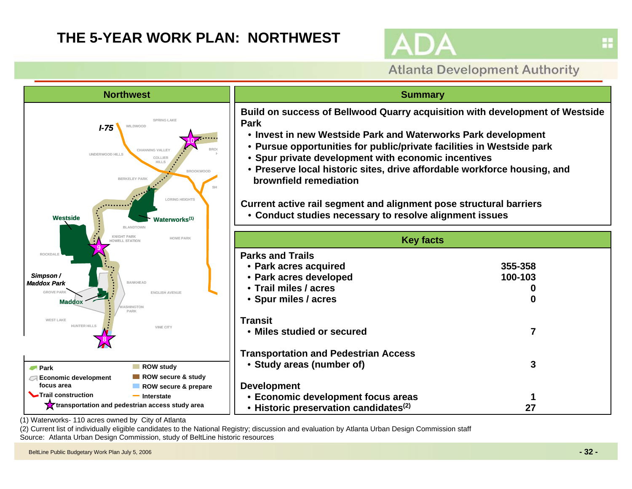# **THE 5-YEAR WORK PLAN: NORTHWEST**



## **Atlanta Development Authority**



(1) Waterworks- 110 acres owned by City of Atlanta

(2) Current list of individually eligible candidates to the National Registry; discussion and evaluation by Atlanta Urban Design Commission staff Source: Atlanta Urban Design Commission, study of BeltLine historic resources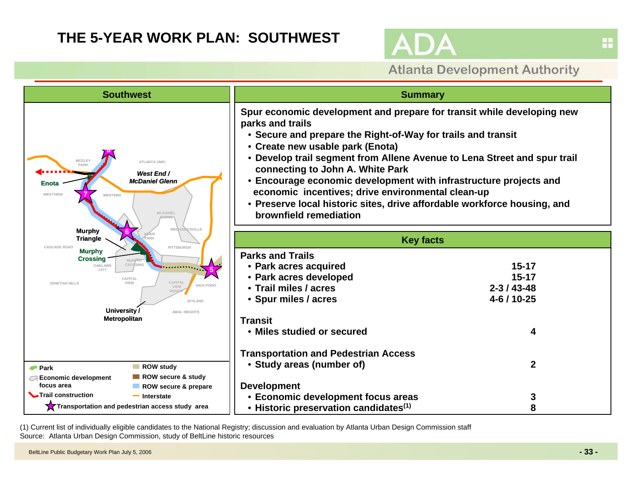## **THE 5-YEAR WORK PLAN: SOUTHWEST**



## **Atlanta Development Authority**



(1) Current list of individually eligible candidates to the National Registry; discussion and evaluation by Atlanta Urban Design Commission staff Source: Atlanta Urban Design Commission, study of BeltLine historic resources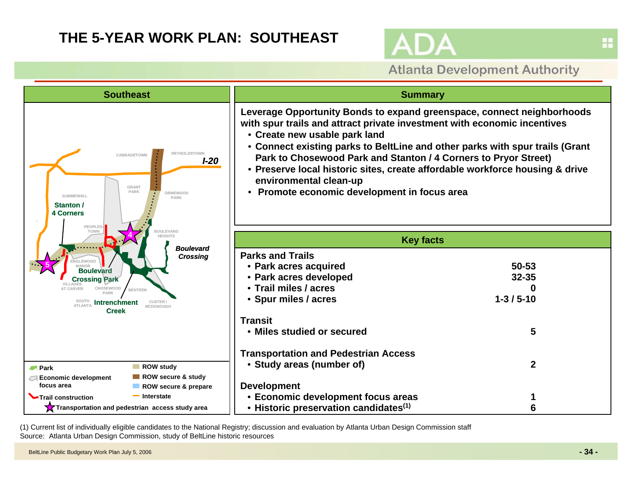## **THE 5-YEAR WORK PLAN: SOUTHEAST**



**Atlanta Development Authority** 



(1) Current list of individually eligible candidates to the National Registry; discussion and evaluation by Atlanta Urban Design Commission staff Source: Atlanta Urban Design Commission, study of BeltLine historic resources